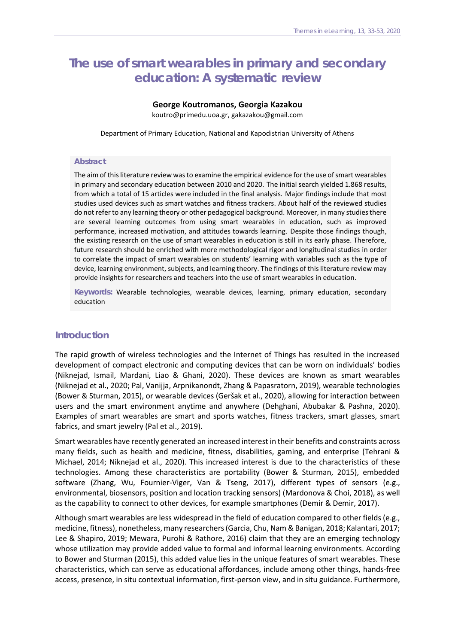# **The use of smart wearables in primary and secondary education: A systematic review**

# **George Koutromanos, Georgia Kazakou**

koutro@primedu.uoa.gr, gakazakou@gmail.com

Department of Primary Education, National and Kapodistrian University of Athens

#### **Abstract**

The aim of this literature review was to examine the empirical evidence for the use of smart wearables in primary and secondary education between 2010 and 2020. The initial search yielded 1.868 results, from which a total of 15 articles were included in the final analysis. Major findings include that most studies used devices such as smart watches and fitness trackers. About half of the reviewed studies do not refer to any learning theory or other pedagogical background. Moreover, in many studies there are several learning outcomes from using smart wearables in education, such as improved performance, increased motivation, and attitudes towards learning. Despite those findings though, the existing research on the use of smart wearables in education is still in its early phase. Therefore, future research should be enriched with more methodological rigor and longitudinal studies in order to correlate the impact of smart wearables on students' learning with variables such as the type of device, learning environment, subjects, and learning theory. The findings of this literature review may provide insights for researchers and teachers into the use of smart wearables in education.

**Keywords:** Wearable technologies, wearable devices, learning, primary education, secondary education

# **Introduction**

The rapid growth of wireless technologies and the Internet of Things has resulted in the increased development of compact electronic and computing devices that can be worn on individuals' bodies (Niknejad, Ismail, Mardani, Liao & Ghani, 2020). These devices are known as smart wearables (Niknejad et al., 2020; Pal, Vanijja, Arpnikanondt, Zhang & Papasratorn, 2019), wearable technologies (Bower & Sturman, 2015), or wearable devices (Geršak et al., 2020), allowing for interaction between users and the smart environment anytime and anywhere (Dehghani, Abubakar & Pashna, 2020). Examples of smart wearables are smart and sports watches, fitness trackers, smart glasses, smart fabrics, and smart jewelry (Pal et al., 2019).

Smart wearables have recently generated an increased interest in their benefits and constraints across many fields, such as health and medicine, fitness, disabilities, gaming, and enterprise (Tehrani & Michael, 2014; Niknejad et al., 2020). This increased interest is due to the characteristics of these technologies. Among these characteristics are portability (Bower & Sturman, 2015), embedded software (Zhang, Wu, Fournier-Viger, Van & Tseng, 2017), different types of sensors (e.g., environmental, biosensors, position and location tracking sensors) (Mardonova & Choi, 2018), as well as the capability to connect to other devices, for example smartphones (Demir & Demir, 2017).

Although smart wearables are less widespread in the field of education compared to other fields (e.g., medicine, fitness), nonetheless, many researchers (Garcia, Chu, Nam & Banigan, 2018; Kalantari, 2017; Lee & Shapiro, 2019; Mewara, Purohi & Rathore, 2016) claim that they are an emerging technology whose utilization may provide added value to formal and informal learning environments. According to Bower and Sturman (2015), this added value lies in the unique features of smart wearables. These characteristics, which can serve as educational affordances, include among other things, hands-free access, presence, in situ contextual information, first-person view, and in situ guidance. Furthermore,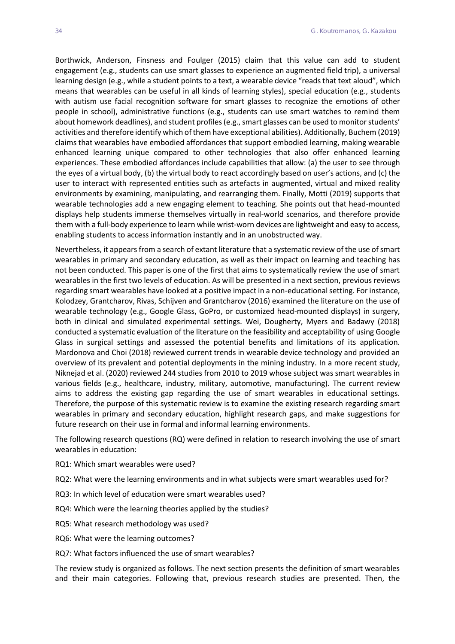Borthwick, Anderson, Finsness and Foulger (2015) claim that this value can add to student engagement (e.g., students can use smart glasses to experience an augmented field trip), a universal learning design (e.g., while a student points to a text, a wearable device "reads that text aloud", which means that wearables can be useful in all kinds of learning styles), special education (e.g., students with autism use facial recognition software for smart glasses to recognize the emotions of other people in school), administrative functions (e.g., students can use smart watches to remind them about homework deadlines), and student profiles (e.g., smart glasses can be used to monitor students' activities and therefore identify which of them have exceptional abilities). Additionally, Buchem (2019) claims that wearables have embodied affordances that support embodied learning, making wearable enhanced learning unique compared to other technologies that also offer enhanced learning experiences. These embodied affordances include capabilities that allow: (a) the user to see through the eyes of a virtual body, (b) the virtual body to react accordingly based on user's actions, and (c) the user to interact with represented entities such as artefacts in augmented, virtual and mixed reality environments by examining, manipulating, and rearranging them. Finally, Motti (2019) supports that wearable technologies add a new engaging element to teaching. She points out that head-mounted displays help students immerse themselves virtually in real-world scenarios, and therefore provide them with a full-body experience to learn while wrist-worn devices are lightweight and easy to access, enabling students to access information instantly and in an unobstructed way.

Nevertheless, it appears from a search of extant literature that a systematic review of the use of smart wearables in primary and secondary education, as well as their impact on learning and teaching has not been conducted. This paper is one of the first that aims to systematically review the use of smart wearables in the first two levels of education. As will be presented in a next section, previous reviews regarding smart wearables have looked at a positive impact in a non-educational setting. For instance, Kolodzey, Grantcharov, Rivas, Schijven and Grantcharov (2016) examined the literature on the use of wearable technology (e.g., Google Glass, GoPro, or customized head-mounted displays) in surgery, both in clinical and simulated experimental settings. Wei, Dougherty, Myers and Badawy (2018) conducted a systematic evaluation of the literature on the feasibility and acceptability of using Google Glass in surgical settings and assessed the potential benefits and limitations of its application. Mardonova and Choi (2018) reviewed current trends in wearable device technology and provided an overview of its prevalent and potential deployments in the mining industry. In a more recent study, Niknejad et al. (2020) reviewed 244 studies from 2010 to 2019 whose subject was smart wearables in various fields (e.g., healthcare, industry, military, automotive, manufacturing). The current review aims to address the existing gap regarding the use of smart wearables in educational settings. Therefore, the purpose of this systematic review is to examine the existing research regarding smart wearables in primary and secondary education, highlight research gaps, and make suggestions for future research on their use in formal and informal learning environments.

The following research questions (RQ) were defined in relation to research involving the use of smart wearables in education:

RQ1: Which smart wearables were used?

RQ2: What were the learning environments and in what subjects were smart wearables used for?

- RQ3: In which level of education were smart wearables used?
- RQ4: Which were the learning theories applied by the studies?
- RQ5: What research methodology was used?
- RQ6: What were the learning outcomes?
- RQ7: What factors influenced the use of smart wearables?

The review study is organized as follows. The next section presents the definition of smart wearables and their main categories. Following that, previous research studies are presented. Then, the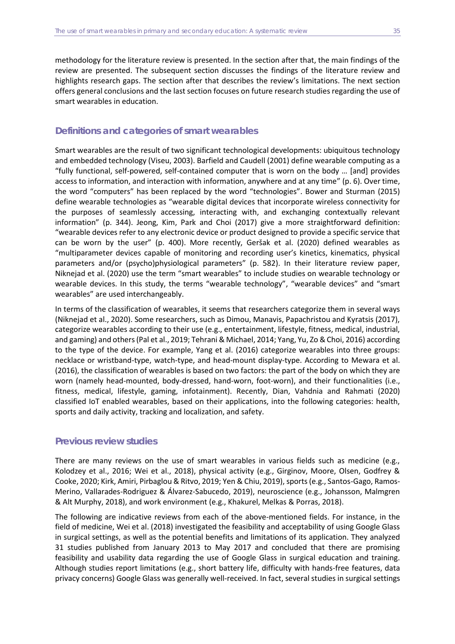methodology for the literature review is presented. In the section after that, the main findings of the review are presented. The subsequent section discusses the findings of the literature review and highlights research gaps. The section after that describes the review's limitations. The next section offers general conclusions and the last section focuses on future research studies regarding the use of smart wearables in education.

# **Definitions and categories of smart wearables**

Smart wearables are the result of two significant technological developments: ubiquitous technology and embedded technology (Viseu, 2003). Barfield and Caudell (2001) define wearable computing as a "fully functional, self-powered, self-contained computer that is worn on the body … [and] provides access to information, and interaction with information, anywhere and at any time" (p. 6). Over time, the word "computers" has been replaced by the word "technologies". Bower and Sturman (2015) define wearable technologies as "wearable digital devices that incorporate wireless connectivity for the purposes of seamlessly accessing, interacting with, and exchanging contextually relevant information" (p. 344). Jeong, Kim, Park and Choi (2017) give a more straightforward definition: "wearable devices refer to any electronic device or product designed to provide a specific service that can be worn by the user" (p. 400). More recently, Geršak et al. (2020) defined wearables as "multiparameter devices capable of monitoring and recording user's kinetics, kinematics, physical parameters and/or (psycho)physiological parameters" (p. 582). In their literature review paper, Niknejad et al. (2020) use the term "smart wearables" to include studies on wearable technology or wearable devices. In this study, the terms "wearable technology", "wearable devices" and "smart wearables" are used interchangeably.

In terms of the classification of wearables, it seems that researchers categorize them in several ways (Niknejad et al., 2020). Some researchers, such as Dimou, Manavis, Papachristou and Kyratsis (2017), categorize wearables according to their use (e.g., entertainment, lifestyle, fitness, medical, industrial, and gaming) and others (Pal et al., 2019; Tehrani & Michael, 2014; Yang, Yu, Zo & Choi, 2016) according to the type of the device. For example, Yang et al. (2016) categorize wearables into three groups: necklace or wristband-type, watch-type, and head-mount display-type. According to Mewara et al. (2016), the classification of wearables is based on two factors: the part of the body on which they are worn (namely head-mounted, body-dressed, hand-worn, foot-worn), and their functionalities (i.e., fitness, medical, lifestyle, gaming, infotainment). Recently, Dian, Vahdnia and Rahmati (2020) classified IoT enabled wearables, based on their applications, into the following categories: health, sports and daily activity, tracking and localization, and safety.

# **Previous review studies**

There are many reviews on the use of smart wearables in various fields such as medicine (e.g., Kolodzey et al., 2016; Wei et al., 2018), physical activity (e.g., Girginov, Moore, Olsen, Godfrey & Cooke, 2020; Kirk, Amiri, Pirbaglou & Ritvo, 2019; Yen & Chiu, 2019), sports (e.g., Santos-Gago, Ramos-Merino, Vallarades-Rodriguez & Álvarez-Sabucedo, 2019), neuroscience (e.g., Johansson, Malmgren & Alt Murphy, 2018), and work environment (e.g., Khakurel, Melkas & Porras, 2018).

The following are indicative reviews from each of the above-mentioned fields. For instance, in the field of medicine, Wei et al. (2018) investigated the feasibility and acceptability of using Google Glass in surgical settings, as well as the potential benefits and limitations of its application. They analyzed 31 studies published from January 2013 to May 2017 and concluded that there are promising feasibility and usability data regarding the use of Google Glass in surgical education and training. Although studies report limitations (e.g., short battery life, difficulty with hands-free features, data privacy concerns) Google Glass was generally well-received. In fact, several studies in surgical settings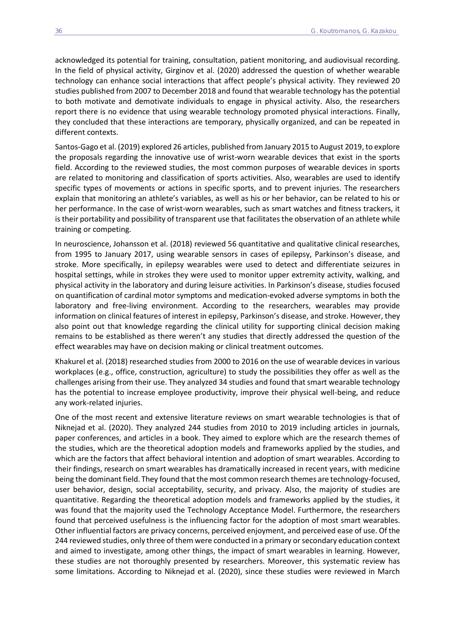acknowledged its potential for training, consultation, patient monitoring, and audiovisual recording. In the field of physical activity, Girginov et al. (2020) addressed the question of whether wearable technology can enhance social interactions that affect people's physical activity. They reviewed 20 studies published from 2007 to December 2018 and found that wearable technology has the potential to both motivate and demotivate individuals to engage in physical activity. Also, the researchers report there is no evidence that using wearable technology promoted physical interactions. Finally, they concluded that these interactions are temporary, physically organized, and can be repeated in different contexts.

Santos-Gago et al. (2019) explored 26 articles, published from January 2015 to August 2019, to explore the proposals regarding the innovative use of wrist-worn wearable devices that exist in the sports field. According to the reviewed studies, the most common purposes of wearable devices in sports are related to monitoring and classification of sports activities. Also, wearables are used to identify specific types of movements or actions in specific sports, and to prevent injuries. The researchers explain that monitoring an athlete's variables, as well as his or her behavior, can be related to his or her performance. In the case of wrist-worn wearables, such as smart watches and fitness trackers, it is their portability and possibility of transparent use that facilitates the observation of an athlete while training or competing.

In neuroscience, Johansson et al. (2018) reviewed 56 quantitative and qualitative clinical researches, from 1995 to January 2017, using wearable sensors in cases of epilepsy, Parkinson's disease, and stroke. More specifically, in epilepsy wearables were used to detect and differentiate seizures in hospital settings, while in strokes they were used to monitor upper extremity activity, walking, and physical activity in the laboratory and during leisure activities. In Parkinson's disease, studies focused on quantification of cardinal motor symptoms and medication-evoked adverse symptoms in both the laboratory and free-living environment. According to the researchers, wearables may provide information on clinical features of interest in epilepsy, Parkinson's disease, and stroke. However, they also point out that knowledge regarding the clinical utility for supporting clinical decision making remains to be established as there weren't any studies that directly addressed the question of the effect wearables may have on decision making or clinical treatment outcomes.

Khakurel et al. (2018) researched studies from 2000 to 2016 on the use of wearable devices in various workplaces (e.g., office, construction, agriculture) to study the possibilities they offer as well as the challenges arising from their use. They analyzed 34 studies and found that smart wearable technology has the potential to increase employee productivity, improve their physical well-being, and reduce any work-related injuries.

One of the most recent and extensive literature reviews on smart wearable technologies is that of Niknejad et al. (2020). They analyzed 244 studies from 2010 to 2019 including articles in journals, paper conferences, and articles in a book. They aimed to explore which are the research themes of the studies, which are the theoretical adoption models and frameworks applied by the studies, and which are the factors that affect behavioral intention and adoption of smart wearables. According to their findings, research on smart wearables has dramatically increased in recent years, with medicine being the dominant field. They found that the most common research themes are technology-focused, user behavior, design, social acceptability, security, and privacy. Also, the majority of studies are quantitative. Regarding the theoretical adoption models and frameworks applied by the studies, it was found that the majority used the Technology Acceptance Model. Furthermore, the researchers found that perceived usefulness is the influencing factor for the adoption of most smart wearables. Other influential factors are privacy concerns, perceived enjoyment, and perceived ease of use. Of the 244 reviewed studies, only three of them were conducted in a primary or secondary education context and aimed to investigate, among other things, the impact of smart wearables in learning. However, these studies are not thoroughly presented by researchers. Moreover, this systematic review has some limitations. According to Niknejad et al. (2020), since these studies were reviewed in March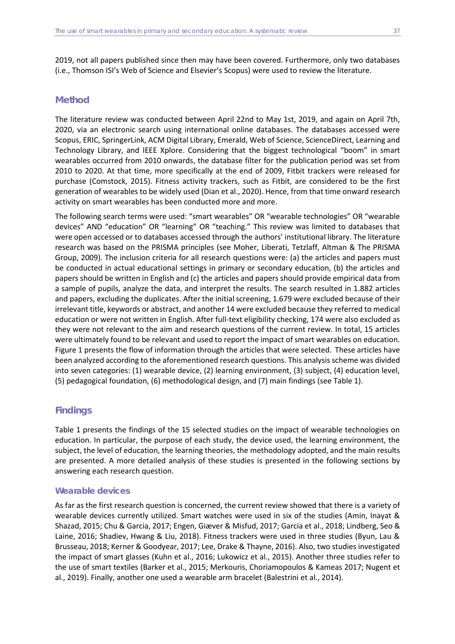2019, not all papers published since then may have been covered. Furthermore, only two databases (i.e., Thomson ISI's Web of Science and Elsevier's Scopus) were used to review the literature.

# **Method**

The literature review was conducted between April 22nd to May 1st, 2019, and again on April 7th, 2020, via an electronic search using international online databases. The databases accessed were Scopus, ERIC, SpringerLink, ACM Digital Library, Emerald, Web of Science, ScienceDirect, Learning and Technology Library, and IEEE Xplore. Considering that the biggest technological "boom" in smart wearables occurred from 2010 onwards, the database filter for the publication period was set from 2010 to 2020. At that time, more specifically at the end of 2009, Fitbit trackers were released for purchase (Comstock, 2015). Fitness activity trackers, such as Fitbit, are considered to be the first generation of wearables to be widely used (Dian et al., 2020). Hence, from that time onward research activity on smart wearables has been conducted more and more.

The following search terms were used: "smart wearables" OR "wearable technologies" OR "wearable devices" AND "education" OR "learning" OR "teaching." This review was limited to databases that were open accessed or to databases accessed through the authors' institutional library. The literature research was based on the PRISMA principles (see Moher, Liberati, Tetzlaff, Altman & The PRISMA Group, 2009). The inclusion criteria for all research questions were: (a) the articles and papers must be conducted in actual educational settings in primary or secondary education, (b) the articles and papers should be written in English and (c) the articles and papers should provide empirical data from a sample of pupils, analyze the data, and interpret the results. The search resulted in 1.882 articles and papers, excluding the duplicates. After the initial screening, 1.679 were excluded because of their irrelevant title, keywords or abstract, and another 14 were excluded because they referred to medical education or were not written in English. After full-text eligibility checking, 174 were also excluded as they were not relevant to the aim and research questions of the current review. In total, 15 articles were ultimately found to be relevant and used to report the impact of smart wearables on education. Figure 1 presents the flow of information through the articles that were selected. These articles have been analyzed according to the aforementioned research questions. This analysis scheme was divided into seven categories: (1) wearable device, (2) learning environment, (3) subject, (4) education level, (5) pedagogical foundation, (6) methodological design, and (7) main findings (see Table 1).

# **Findings**

Table 1 presents the findings of the 15 selected studies on the impact of wearable technologies on education. In particular, the purpose of each study, the device used, the learning environment, the subject, the level of education, the learning theories, the methodology adopted, and the main results are presented. A more detailed analysis of these studies is presented in the following sections by answering each research question.

# *Wearable devices*

As far as the first research question is concerned, the current review showed that there is a variety of wearable devices currently utilized. Smart watches were used in six of the studies (Amin, Inayat & Shazad, 2015; Chu & Garcia, 2017; Engen, Giæver & Misfud, 2017; Garcia et al., 2018; Lindberg, Seo & Laine, 2016; Shadiev, Hwang & Liu, 2018). Fitness trackers were used in three studies (Byun, Lau & Brusseau, 2018; Kerner & Goodyear, 2017; Lee, Drake & Thayne, 2016). Also, two studies investigated the impact of smart glasses (Kuhn et al., 2016; Lukowicz et al., 2015). Another three studies refer to the use of smart textiles (Barker et al., 2015; Merkouris, Choriamopoulos & Kameas 2017; Nugent et al., 2019). Finally, another one used a wearable arm bracelet (Balestrini et al., 2014).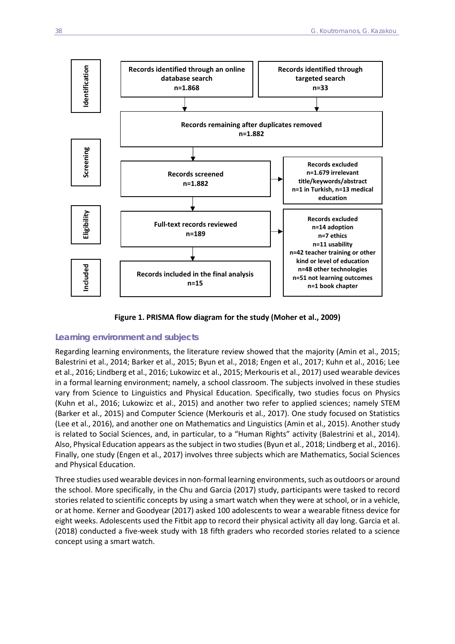

**Figure 1. PRISMA flow diagram for the study (Moher et al., 2009)** 

#### *Learning environment and subjects*

Regarding learning environments, the literature review showed that the majority (Amin et al., 2015; Balestrini et al., 2014; Barker et al., 2015; Byun et al., 2018; Engen et al., 2017; Kuhn et al., 2016; Lee et al., 2016; Lindberg et al., 2016; Lukowizc et al., 2015; Merkouris et al., 2017) used wearable devices in a formal learning environment; namely, a school classroom. The subjects involved in these studies vary from Science to Linguistics and Physical Education. Specifically, two studies focus on Physics (Kuhn et al., 2016; Lukowizc et al., 2015) and another two refer to applied sciences; namely STEM (Barker et al., 2015) and Computer Science (Merkouris et al., 2017). One study focused on Statistics (Lee et al., 2016), and another one on Mathematics and Linguistics (Amin et al., 2015). Another study is related to Social Sciences, and, in particular, to a "Human Rights" activity (Balestrini et al., 2014). Also, Physical Education appears as the subject in two studies (Byun et al., 2018; Lindberg et al., 2016). Finally, one study (Engen et al., 2017) involves three subjects which are Mathematics, Social Sciences and Physical Education.

Three studies used wearable devices in non-formal learning environments, such as outdoors or around the school. More specifically, in the Chu and Garcia (2017) study, participants were tasked to record stories related to scientific concepts by using a smart watch when they were at school, or in a vehicle, or at home. Kerner and Goodyear (2017) asked 100 adolescents to wear a wearable fitness device for eight weeks. Adolescents used the Fitbit app to record their physical activity all day long. Garcia et al. (2018) conducted a five-week study with 18 fifth graders who recorded stories related to a science concept using a smart watch.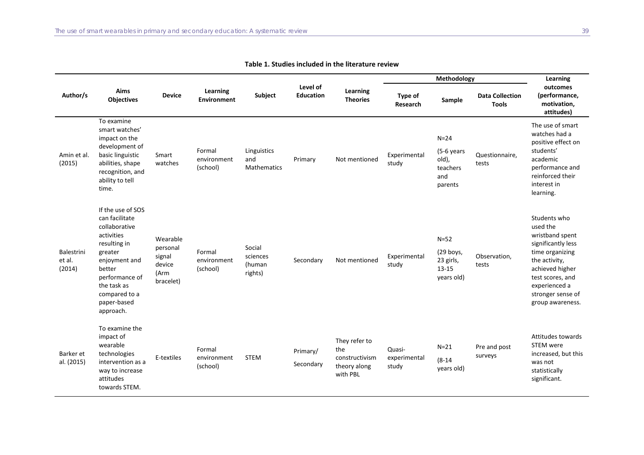|                                |                                                                                                                                                                                                        |                                                               | Learning<br><b>Environment</b>    | Subject                                  | Level of<br><b>Education</b> | Learning<br><b>Theories</b>                                        |                                 | Learning                                                    |                                        |                                                                                                                                                                                                        |
|--------------------------------|--------------------------------------------------------------------------------------------------------------------------------------------------------------------------------------------------------|---------------------------------------------------------------|-----------------------------------|------------------------------------------|------------------------------|--------------------------------------------------------------------|---------------------------------|-------------------------------------------------------------|----------------------------------------|--------------------------------------------------------------------------------------------------------------------------------------------------------------------------------------------------------|
| Author/s                       | Aims<br><b>Objectives</b>                                                                                                                                                                              | <b>Device</b>                                                 |                                   |                                          |                              |                                                                    | Type of<br>Research             | Sample                                                      | <b>Data Collection</b><br><b>Tools</b> | outcomes<br>(performance,<br>motivation,<br>attitudes)                                                                                                                                                 |
| Amin et al.<br>(2015)          | To examine<br>smart watches'<br>impact on the<br>development of<br>basic linguistic<br>abilities, shape<br>recognition, and<br>ability to tell<br>time.                                                | Smart<br>watches                                              | Formal<br>environment<br>(school) | Linguistics<br>and<br><b>Mathematics</b> | Primary                      | Not mentioned                                                      | Experimental<br>study           | $N=24$<br>(5-6 years<br>old),<br>teachers<br>and<br>parents | Questionnaire,<br>tests                | The use of smart<br>watches had a<br>positive effect on<br>students'<br>academic<br>performance and<br>reinforced their<br>interest in<br>learning.                                                    |
| Balestrini<br>et al.<br>(2014) | If the use of SOS<br>can facilitate<br>collaborative<br>activities<br>resulting in<br>greater<br>enjoyment and<br>better<br>performance of<br>the task as<br>compared to a<br>paper-based<br>approach. | Wearable<br>personal<br>signal<br>device<br>(Arm<br>bracelet) | Formal<br>environment<br>(school) | Social<br>sciences<br>(human<br>rights)  | Secondary                    | Not mentioned                                                      | Experimental<br>study           | $N=52$<br>(29 boys,<br>23 girls,<br>$13 - 15$<br>years old) | Observation,<br>tests                  | Students who<br>used the<br>wristband spent<br>significantly less<br>time organizing<br>the activity,<br>achieved higher<br>test scores, and<br>experienced a<br>stronger sense of<br>group awareness. |
| Barker et<br>al. (2015)        | To examine the<br>impact of<br>wearable<br>technologies<br>intervention as a<br>way to increase<br>attitudes<br>towards STEM.                                                                          | E-textiles                                                    | Formal<br>environment<br>(school) | <b>STEM</b>                              | Primary/<br>Secondary        | They refer to<br>the<br>constructivism<br>theory along<br>with PBL | Quasi-<br>experimental<br>study | $N=21$<br>$(8-14)$<br>years old)                            | Pre and post<br>surveys                | Attitudes towards<br><b>STEM</b> were<br>increased, but this<br>was not<br>statistically<br>significant.                                                                                               |

**Table 1. Studies included in the literature review**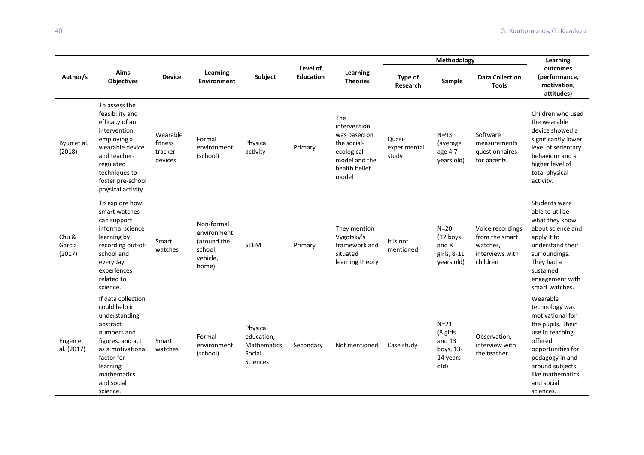|                           |                                                                                                                                                                                               |                                           | Learning<br><b>Environment</b>                                           | Subject                                                             | Level of<br><b>Education</b> | Learning<br><b>Theories</b>                                                                                 |                                 | Learning                                                        |                                                                               |                                                                                                                                                                                                             |
|---------------------------|-----------------------------------------------------------------------------------------------------------------------------------------------------------------------------------------------|-------------------------------------------|--------------------------------------------------------------------------|---------------------------------------------------------------------|------------------------------|-------------------------------------------------------------------------------------------------------------|---------------------------------|-----------------------------------------------------------------|-------------------------------------------------------------------------------|-------------------------------------------------------------------------------------------------------------------------------------------------------------------------------------------------------------|
| Author/s                  | Aims<br><b>Objectives</b>                                                                                                                                                                     | <b>Device</b>                             |                                                                          |                                                                     |                              |                                                                                                             | Type of<br>Research             | Sample                                                          | <b>Data Collection</b><br><b>Tools</b>                                        | outcomes<br>(performance,<br>motivation,<br>attitudes)                                                                                                                                                      |
| Byun et al.<br>(2018)     | To assess the<br>feasibility and<br>efficacy of an<br>intervention<br>employing a<br>wearable device<br>and teacher-<br>regulated<br>techniques to<br>foster pre-school<br>physical activity. | Wearable<br>fitness<br>tracker<br>devices | Formal<br>environment<br>(school)                                        | Physical<br>activity                                                | Primary                      | The<br>intervention<br>was based on<br>the social-<br>ecological<br>model and the<br>health belief<br>model | Quasi-<br>experimental<br>study | $N=93$<br>(average<br>age 4,7<br>years old)                     | Software<br>measurements<br>questionnaires<br>for parents                     | Children who used<br>the wearable<br>device showed a<br>significantly lower<br>level of sedentary<br>behaviour and a<br>higher level of<br>total physical<br>activity.                                      |
| Chu &<br>Garcia<br>(2017) | To explore how<br>smart watches<br>can support<br>informal science<br>learning by<br>recording out-of-<br>school and<br>everyday<br>experiences<br>related to<br>science.                     | Smart<br>watches                          | Non-formal<br>environment<br>(around the<br>school,<br>vehicle,<br>home) | <b>STEM</b>                                                         | Primary                      | They mention<br>Vygotsky's<br>framework and<br>situated<br>learning theory                                  | It is not<br>mentioned          | $N=20$<br>$(12$ boys<br>and 8<br>girls, 8-11<br>years old)      | Voice recordings<br>from the smart<br>watches,<br>interviews with<br>children | Students were<br>able to utilize<br>what they know<br>about science and<br>apply it to<br>understand their<br>surroundings.<br>They had a<br>sustained<br>engagement with<br>smart watches.                 |
| Engen et<br>al. (2017)    | If data collection<br>could help in<br>understanding<br>abstract<br>numbers and<br>figures, and act<br>as a motivational<br>factor for<br>learning<br>mathematics<br>and social<br>science.   | Smart<br>watches                          | Formal<br>environment<br>(school)                                        | Physical<br>education,<br>Mathematics.<br>Social<br><b>Sciences</b> | Secondary                    | Not mentioned                                                                                               | Case study                      | $N=21$<br>(8 girls<br>and $13$<br>boys, 13-<br>14 years<br>old) | Observation,<br>interview with<br>the teacher                                 | Wearable<br>technology was<br>motivational for<br>the pupils. Their<br>use in teaching<br>offered<br>opportunities for<br>pedagogy in and<br>around subjects<br>like mathematics<br>and social<br>sciences. |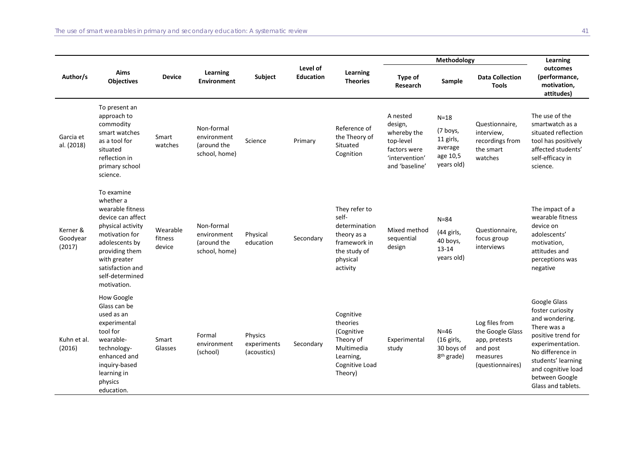|                                |                                                                                                                                                                                                                   |                               | Learning<br><b>Environment</b>                            | Subject                               | Level of<br><b>Education</b> | Learning<br><b>Theories</b>                                                                                    |                                                                                                     | Learning                                                             |                                                                                                 |                                                                                                                                                                                                                     |
|--------------------------------|-------------------------------------------------------------------------------------------------------------------------------------------------------------------------------------------------------------------|-------------------------------|-----------------------------------------------------------|---------------------------------------|------------------------------|----------------------------------------------------------------------------------------------------------------|-----------------------------------------------------------------------------------------------------|----------------------------------------------------------------------|-------------------------------------------------------------------------------------------------|---------------------------------------------------------------------------------------------------------------------------------------------------------------------------------------------------------------------|
| Author/s                       | Aims<br><b>Objectives</b>                                                                                                                                                                                         | <b>Device</b>                 |                                                           |                                       |                              |                                                                                                                | Type of<br>Research                                                                                 | Sample                                                               | <b>Data Collection</b><br><b>Tools</b>                                                          | outcomes<br>(performance,<br>motivation,<br>attitudes)                                                                                                                                                              |
| Garcia et<br>al. (2018)        | To present an<br>approach to<br>commodity<br>smart watches<br>as a tool for<br>situated<br>reflection in<br>primary school<br>science.                                                                            | Smart<br>watches              | Non-formal<br>environment<br>(around the<br>school, home) | Science                               | Primary                      | Reference of<br>the Theory of<br>Situated<br>Cognition                                                         | A nested<br>design,<br>whereby the<br>top-level<br>factors were<br>'intervention'<br>and 'baseline' | $N=18$<br>(7 boys,<br>11 girls,<br>average<br>age 10,5<br>years old) | Questionnaire,<br>interview,<br>recordings from<br>the smart<br>watches                         | The use of the<br>smartwatch as a<br>situated reflection<br>tool has positively<br>affected students'<br>self-efficacy in<br>science.                                                                               |
| Kerner &<br>Goodyear<br>(2017) | To examine<br>whether a<br>wearable fitness<br>device can affect<br>physical activity<br>motivation for<br>adolescents by<br>providing them<br>with greater<br>satisfaction and<br>self-determined<br>motivation. | Wearable<br>fitness<br>device | Non-formal<br>environment<br>(around the<br>school, home) | Physical<br>education                 | Secondary                    | They refer to<br>self-<br>determination<br>theory as a<br>framework in<br>the study of<br>physical<br>activity | Mixed method<br>sequential<br>design                                                                | $N = 84$<br>(44 girls,<br>40 boys,<br>$13 - 14$<br>years old)        | Questionnaire,<br>focus group<br>interviews                                                     | The impact of a<br>wearable fitness<br>device on<br>adolescents'<br>motivation,<br>attitudes and<br>perceptions was<br>negative                                                                                     |
| Kuhn et al.<br>(2016)          | How Google<br>Glass can be<br>used as an<br>experimental<br>tool for<br>wearable-<br>technology-<br>enhanced and<br>inquiry-based<br>learning in<br>physics<br>education.                                         | Smart<br>Glasses              | Formal<br>environment<br>(school)                         | Physics<br>experiments<br>(acoustics) | Secondary                    | Cognitive<br>theories<br>(Cognitive<br>Theory of<br>Multimedia<br>Learning,<br>Cognitive Load<br>Theory)       | Experimental<br>study                                                                               | $N=46$<br>(16 girls,<br>30 boys of<br>8 <sup>th</sup> grade)         | Log files from<br>the Google Glass<br>app, pretests<br>and post<br>measures<br>(questionnaires) | Google Glass<br>foster curiosity<br>and wondering.<br>There was a<br>positive trend for<br>experimentation.<br>No difference in<br>students' learning<br>and cognitive load<br>between Google<br>Glass and tablets. |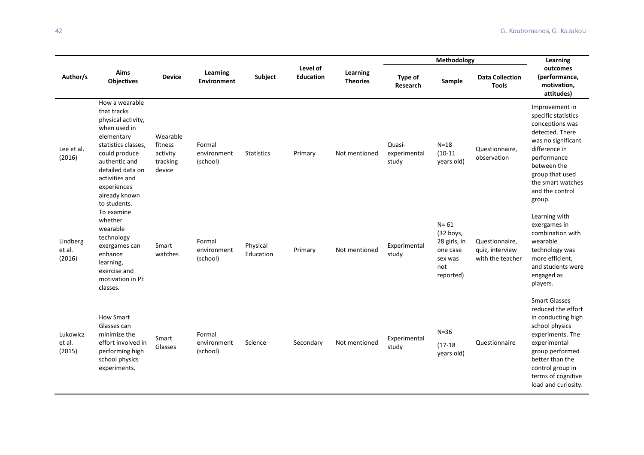|                              |                                                                                                                                                                                                                                  |                                                       |                                   |                       |                              | Learning<br><b>Theories</b> |                                 | Learning                                                                         |                                                       |                                                                                                                                                                                                                               |
|------------------------------|----------------------------------------------------------------------------------------------------------------------------------------------------------------------------------------------------------------------------------|-------------------------------------------------------|-----------------------------------|-----------------------|------------------------------|-----------------------------|---------------------------------|----------------------------------------------------------------------------------|-------------------------------------------------------|-------------------------------------------------------------------------------------------------------------------------------------------------------------------------------------------------------------------------------|
| Author/s                     | Aims<br><b>Objectives</b>                                                                                                                                                                                                        | <b>Device</b>                                         | Learning<br>Environment           | Subject               | Level of<br><b>Education</b> |                             | Type of<br>Research             | Sample                                                                           | <b>Data Collection</b><br><b>Tools</b>                | outcomes<br>(performance,<br>motivation,<br>attitudes)                                                                                                                                                                        |
| Lee et al.<br>(2016)         | How a wearable<br>that tracks<br>physical activity,<br>when used in<br>elementary<br>statistics classes,<br>could produce<br>authentic and<br>detailed data on<br>activities and<br>experiences<br>already known<br>to students. | Wearable<br>fitness<br>activity<br>tracking<br>device | Formal<br>environment<br>(school) | <b>Statistics</b>     | Primary                      | Not mentioned               | Quasi-<br>experimental<br>study | $N=18$<br>$(10-11)$<br>years old)                                                | Questionnaire,<br>observation                         | Improvement in<br>specific statistics<br>conceptions was<br>detected. There<br>was no significant<br>difference in<br>performance<br>between the<br>group that used<br>the smart watches<br>and the control<br>group.         |
| Lindberg<br>et al.<br>(2016) | To examine<br>whether<br>wearable<br>technology<br>exergames can<br>enhance<br>learning,<br>exercise and<br>motivation in PE<br>classes.                                                                                         | Smart<br>watches                                      | Formal<br>environment<br>(school) | Physical<br>Education | Primary                      | Not mentioned               | Experimental<br>study           | $N = 61$<br>(32 boys,<br>28 girls, in<br>one case<br>sex was<br>not<br>reported) | Questionnaire,<br>quiz, interview<br>with the teacher | Learning with<br>exergames in<br>combination with<br>wearable<br>technology was<br>more efficient,<br>and students were<br>engaged as<br>players.                                                                             |
| Lukowicz<br>et al.<br>(2015) | <b>How Smart</b><br>Glasses can<br>minimize the<br>effort involved in<br>performing high<br>school physics<br>experiments.                                                                                                       | Smart<br>Glasses                                      | Formal<br>environment<br>(school) | Science               | Secondary                    | Not mentioned               | Experimental<br>study           | $N=36$<br>$(17-18)$<br>years old)                                                | Questionnaire                                         | <b>Smart Glasses</b><br>reduced the effort<br>in conducting high<br>school physics<br>experiments. The<br>experimental<br>group performed<br>better than the<br>control group in<br>terms of cognitive<br>load and curiosity. |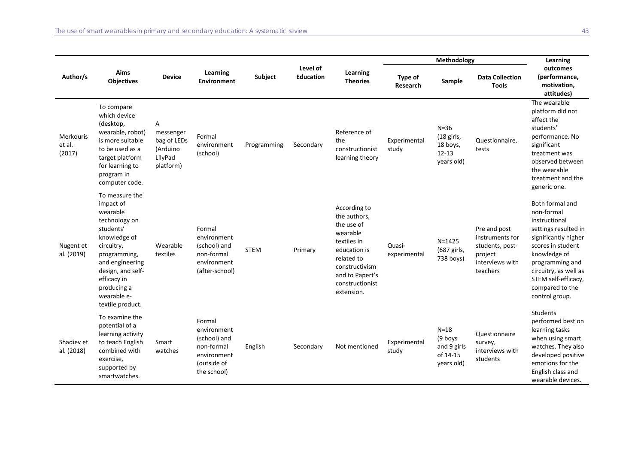|                                      |                                                                                                                                                                                                                              |                                                                   | Learning<br><b>Environment</b>                                                                   | Subject     | Level of<br><b>Education</b> | Learning<br><b>Theories</b>                                                                                                                                               |                        | Learning                                                    |                                                                                              |                                                                                                                                                                                                                                             |
|--------------------------------------|------------------------------------------------------------------------------------------------------------------------------------------------------------------------------------------------------------------------------|-------------------------------------------------------------------|--------------------------------------------------------------------------------------------------|-------------|------------------------------|---------------------------------------------------------------------------------------------------------------------------------------------------------------------------|------------------------|-------------------------------------------------------------|----------------------------------------------------------------------------------------------|---------------------------------------------------------------------------------------------------------------------------------------------------------------------------------------------------------------------------------------------|
| Author/s                             | Aims<br><b>Objectives</b>                                                                                                                                                                                                    | <b>Device</b>                                                     |                                                                                                  |             |                              |                                                                                                                                                                           | Type of<br>Research    | Sample                                                      | <b>Data Collection</b><br><b>Tools</b>                                                       | outcomes<br>(performance,<br>motivation,<br>attitudes)                                                                                                                                                                                      |
| <b>Merkouris</b><br>et al.<br>(2017) | To compare<br>which device<br>(desktop,<br>wearable, robot)<br>is more suitable<br>to be used as a<br>target platform<br>for learning to<br>program in<br>computer code.                                                     | Α<br>messenger<br>bag of LEDs<br>(Arduino<br>LilyPad<br>platform) | Formal<br>environment<br>(school)                                                                | Programming | Secondary                    | Reference of<br>the<br>constructionist<br>learning theory                                                                                                                 | Experimental<br>study  | $N=36$<br>(18 girls,<br>18 boys,<br>$12 - 13$<br>years old) | Questionnaire,<br>tests                                                                      | The wearable<br>platform did not<br>affect the<br>students'<br>performance. No<br>significant<br>treatment was<br>observed between<br>the wearable<br>treatment and the<br>generic one.                                                     |
| Nugent et<br>al. (2019)              | To measure the<br>impact of<br>wearable<br>technology on<br>students'<br>knowledge of<br>circuitry,<br>programming,<br>and engineering<br>design, and self-<br>efficacy in<br>producing a<br>wearable e-<br>textile product. | Wearable<br>textiles                                              | Formal<br>environment<br>(school) and<br>non-formal<br>environment<br>(after-school)             | <b>STEM</b> | Primary                      | According to<br>the authors,<br>the use of<br>wearable<br>textiles in<br>education is<br>related to<br>constructivism<br>and to Papert's<br>constructionist<br>extension. | Quasi-<br>experimental | $N = 1425$<br>(687 girls,<br>738 boys)                      | Pre and post<br>instruments for<br>students, post-<br>project<br>interviews with<br>teachers | Both formal and<br>non-formal<br>instructional<br>settings resulted in<br>significantly higher<br>scores in student<br>knowledge of<br>programming and<br>circuitry, as well as<br>STEM self-efficacy,<br>compared to the<br>control group. |
| Shadiev et<br>al. (2018)             | To examine the<br>potential of a<br>learning activity<br>to teach English<br>combined with<br>exercise,<br>supported by<br>smartwatches.                                                                                     | Smart<br>watches                                                  | Formal<br>environment<br>(school) and<br>non-formal<br>environment<br>(outside of<br>the school) | English     | Secondary                    | Not mentioned                                                                                                                                                             | Experimental<br>study  | $N=18$<br>(9 boys<br>and 9 girls<br>of 14-15<br>years old)  | Questionnaire<br>survey,<br>interviews with<br>students                                      | <b>Students</b><br>performed best on<br>learning tasks<br>when using smart<br>watches. They also<br>developed positive<br>emotions for the<br>English class and<br>wearable devices.                                                        |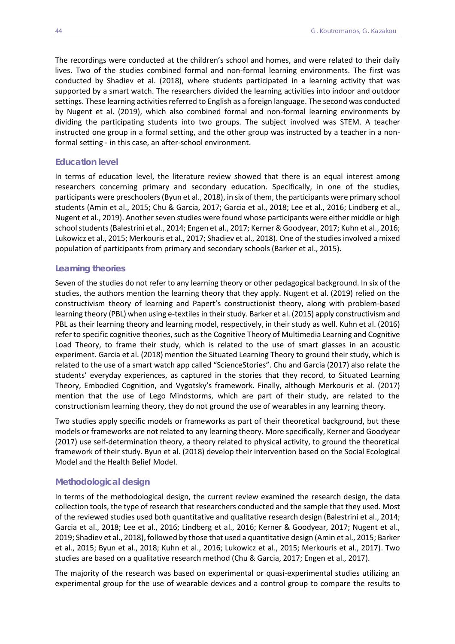The recordings were conducted at the children's school and homes, and were related to their daily lives. Two of the studies combined formal and non-formal learning environments. The first was conducted by Shadiev et al. (2018), where students participated in a learning activity that was supported by a smart watch. The researchers divided the learning activities into indoor and outdoor settings. These learning activities referred to English as a foreign language. The second was conducted by Nugent et al. (2019), which also combined formal and non-formal learning environments by dividing the participating students into two groups. The subject involved was STEM. A teacher instructed one group in a formal setting, and the other group was instructed by a teacher in a nonformal setting - in this case, an after-school environment.

#### *Education level*

In terms of education level, the literature review showed that there is an equal interest among researchers concerning primary and secondary education. Specifically, in one of the studies, participants were preschoolers (Byun et al., 2018), in six of them, the participants were primary school students (Amin et al., 2015; Chu & Garcia, 2017; Garcia et al., 2018; Lee et al., 2016; Lindberg et al., Nugent et al., 2019). Another seven studies were found whose participants were either middle or high school students (Balestrini et al., 2014; Engen et al., 2017; Kerner & Goodyear, 2017; Kuhn et al., 2016; Lukowicz et al., 2015; Merkouris et al., 2017; Shadiev et al., 2018). One of the studies involved a mixed population of participants from primary and secondary schools (Barker et al., 2015).

#### *Learning theories*

Seven of the studies do not refer to any learning theory or other pedagogical background. In six of the studies, the authors mention the learning theory that they apply. Nugent et al. (2019) relied on the constructivism theory of learning and Papert's constructionist theory, along with problem-based learning theory (PBL) when using e-textiles in their study. Barker et al. (2015) apply constructivism and PBL as their learning theory and learning model, respectively, in their study as well. Kuhn et al. (2016) refer to specific cognitive theories, such as the Cognitive Theory of Multimedia Learning and Cognitive Load Theory, to frame their study, which is related to the use of smart glasses in an acoustic experiment. Garcia et al. (2018) mention the Situated Learning Theory to ground their study, which is related to the use of a smart watch app called "ScienceStories". Chu and Garcia (2017) also relate the students' everyday experiences, as captured in the stories that they record, to Situated Learning Theory, Embodied Cognition, and Vygotsky's framework. Finally, although Merkouris et al. (2017) mention that the use of Lego Mindstorms, which are part of their study, are related to the constructionism learning theory, they do not ground the use of wearables in any learning theory.

Two studies apply specific models or frameworks as part of their theoretical background, but these models or frameworks are not related to any learning theory. More specifically, Kerner and Goodyear (2017) use self-determination theory, a theory related to physical activity, to ground the theoretical framework of their study. Byun et al. (2018) develop their intervention based on the Social Ecological Model and the Health Belief Model.

#### *Methodological design*

In terms of the methodological design, the current review examined the research design, the data collection tools, the type of research that researchers conducted and the sample that they used. Most of the reviewed studies used both quantitative and qualitative research design (Balestrini et al., 2014; Garcia et al., 2018; Lee et al., 2016; Lindberg et al., 2016; Kerner & Goodyear, 2017; Nugent et al., 2019; Shadiev et al., 2018), followed by those that used a quantitative design (Amin et al., 2015; Barker et al., 2015; Byun et al., 2018; Kuhn et al., 2016; Lukowicz et al., 2015; Merkouris et al., 2017). Two studies are based on a qualitative research method (Chu & Garcia, 2017; Engen et al., 2017).

The majority of the research was based on experimental or quasi-experimental studies utilizing an experimental group for the use of wearable devices and a control group to compare the results to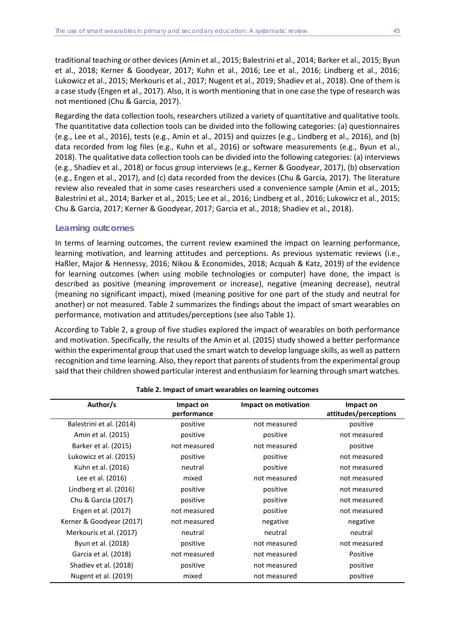traditional teaching or other devices (Amin et al., 2015; Balestrini et al., 2014; Barker et al., 2015; Byun et al., 2018; Kerner & Goodyear, 2017; Kuhn et al., 2016; Lee et al., 2016; Lindberg et al., 2016; Lukowicz et al., 2015; Merkouris et al., 2017; Nugent et al., 2019; Shadiev et al., 2018). One of them is a case study (Engen et al., 2017). Also, it is worth mentioning that in one case the type of research was not mentioned (Chu & Garcia, 2017).

Regarding the data collection tools, researchers utilized a variety of quantitative and qualitative tools. The quantitative data collection tools can be divided into the following categories: (a) questionnaires (e.g., Lee et al., 2016), tests (e.g., Amin et al., 2015) and quizzes (e.g., Lindberg et al., 2016), and (b) data recorded from log files (e.g., Kuhn et al., 2016) or software measurements (e.g., Byun et al., 2018). The qualitative data collection tools can be divided into the following categories: (a) interviews (e.g., Shadiev et al., 2018) or focus group interviews (e.g., Kerner & Goodyear, 2017), (b) observation (e.g., Engen et al., 2017), and (c) data recorded from the devices (Chu & Garcia, 2017). The literature review also revealed that in some cases researchers used a convenience sample (Amin et al., 2015; Balestrini et al., 2014; Barker et al., 2015; Lee et al., 2016; Lindberg et al., 2016; Lukowicz et al., 2015; Chu & Garcia, 2017; Kerner & Goodyear, 2017; Garcia et al., 2018; Shadiev et al., 2018).

# *Learning outcomes*

In terms of learning outcomes, the current review examined the impact on learning performance, learning motivation, and learning attitudes and perceptions. As previous systematic reviews (i.e., Haßler, Major & Hennessy, 2016; Nikou & Economides, 2018; Acquah & Katz, 2019) of the evidence for learning outcomes (when using mobile technologies or computer) have done, the impact is described as positive (meaning improvement or increase), negative (meaning decrease), neutral (meaning no significant impact), mixed (meaning positive for one part of the study and neutral for another) or not measured. Table 2 summarizes the findings about the impact of smart wearables on performance, motivation and attitudes/perceptions (see also Table 1).

According to Table 2, a group of five studies explored the impact of wearables on both performance and motivation. Specifically, the results of the Amin et al. (2015) study showed a better performance within the experimental group that used the smart watch to develop language skills, as well as pattern recognition and time learning. Also, they report that parents of students from the experimental group said that their children showed particular interest and enthusiasm for learning through smart watches.

| Author/s                 | Impact on    | Impact on motivation | Impact on             |  |
|--------------------------|--------------|----------------------|-----------------------|--|
|                          | performance  |                      | attitudes/perceptions |  |
| Balestrini et al. (2014) | positive     | not measured         | positive              |  |
| Amin et al. (2015)       | positive     | positive             | not measured          |  |
| Barker et al. (2015)     | not measured | not measured         | positive              |  |
| Lukowicz et al. (2015)   | positive     | positive             | not measured          |  |
| Kuhn et al. (2016)       | neutral      | positive             | not measured          |  |
| Lee et al. (2016)        | mixed        | not measured         | not measured          |  |
| Lindberg et al. (2016)   | positive     | positive             | not measured          |  |
| Chu & Garcia (2017)      | positive     | positive             | not measured          |  |
| Engen et al. (2017)      | not measured | positive             | not measured          |  |
| Kerner & Goodyear (2017) | not measured | negative             | negative              |  |
| Merkouris et al. (2017)  | neutral      | neutral              | neutral               |  |
| Byun et al. (2018)       | positive     | not measured         | not measured          |  |
| Garcia et al. (2018)     | not measured | not measured         | Positive              |  |
| Shadiev et al. (2018)    | positive     | not measured         | positive              |  |
| Nugent et al. (2019)     | mixed        | not measured         | positive              |  |

# **Table 2. Impact of smart wearables on learning outcomes**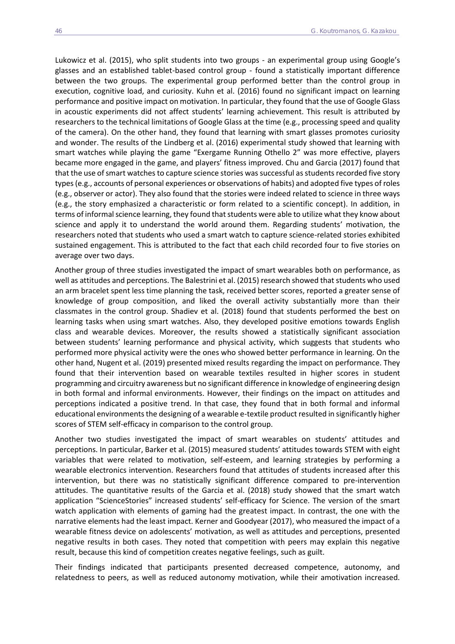Lukowicz et al. (2015), who split students into two groups - an experimental group using Google's glasses and an established tablet-based control group - found a statistically important difference between the two groups. The experimental group performed better than the control group in execution, cognitive load, and curiosity. Kuhn et al. (2016) found no significant impact on learning performance and positive impact on motivation. In particular, they found that the use of Google Glass in acoustic experiments did not affect students' learning achievement. This result is attributed by researchers to the technical limitations of Google Glass at the time (e.g., processing speed and quality of the camera). On the other hand, they found that learning with smart glasses promotes curiosity and wonder. The results of the Lindberg et al. (2016) experimental study showed that learning with smart watches while playing the game "Exergame Running Othello 2" was more effective, players became more engaged in the game, and players' fitness improved. Chu and Garcia (2017) found that that the use of smart watches to capture science stories was successful as students recorded five story types (e.g., accounts of personal experiences or observations of habits) and adopted five types of roles (e.g., observer or actor). They also found that the stories were indeed related to science in three ways (e.g., the story emphasized a characteristic or form related to a scientific concept). In addition, in terms of informal science learning, they found that students were able to utilize what they know about science and apply it to understand the world around them. Regarding students' motivation, the researchers noted that students who used a smart watch to capture science-related stories exhibited sustained engagement. This is attributed to the fact that each child recorded four to five stories on average over two days.

Another group of three studies investigated the impact of smart wearables both on performance, as well as attitudes and perceptions. The Balestrini et al. (2015) research showed that students who used an arm bracelet spent less time planning the task, received better scores, reported a greater sense of knowledge of group composition, and liked the overall activity substantially more than their classmates in the control group. Shadiev et al. (2018) found that students performed the best on learning tasks when using smart watches. Also, they developed positive emotions towards English class and wearable devices. Moreover, the results showed a statistically significant association between students' learning performance and physical activity, which suggests that students who performed more physical activity were the ones who showed better performance in learning. On the other hand, Nugent et al. (2019) presented mixed results regarding the impact on performance. They found that their intervention based on wearable textiles resulted in higher scores in student programming and circuitry awareness but no significant difference in knowledge of engineering design in both formal and informal environments. However, their findings on the impact on attitudes and perceptions indicated a positive trend. In that case, they found that in both formal and informal educational environments the designing of a wearable e-textile product resulted in significantly higher scores of STEM self-efficacy in comparison to the control group.

Another two studies investigated the impact of smart wearables on students' attitudes and perceptions. In particular, Barker et al. (2015) measured students' attitudes towards STEM with eight variables that were related to motivation, self-esteem, and learning strategies by performing a wearable electronics intervention. Researchers found that attitudes of students increased after this intervention, but there was no statistically significant difference compared to pre-intervention attitudes. The quantitative results of the Garcia et al. (2018) study showed that the smart watch application "ScienceStories" increased students' self-efficacy for Science. The version of the smart watch application with elements of gaming had the greatest impact. In contrast, the one with the narrative elements had the least impact. Kerner and Goodyear (2017), who measured the impact of a wearable fitness device on adolescents' motivation, as well as attitudes and perceptions, presented negative results in both cases. They noted that competition with peers may explain this negative result, because this kind of competition creates negative feelings, such as guilt.

Their findings indicated that participants presented decreased competence, autonomy, and relatedness to peers, as well as reduced autonomy motivation, while their amotivation increased.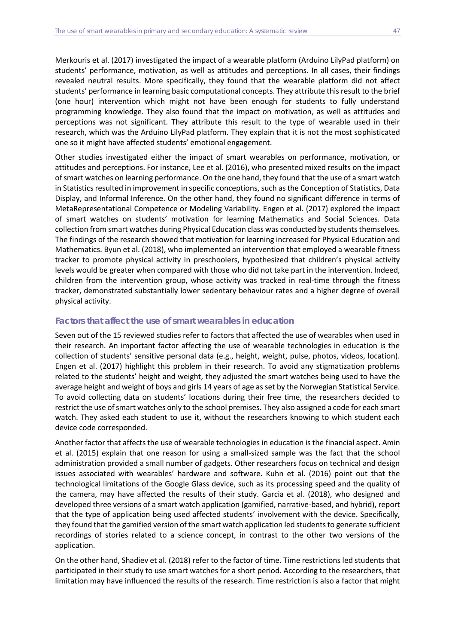Merkouris et al. (2017) investigated the impact of a wearable platform (Arduino LilyPad platform) on students' performance, motivation, as well as attitudes and perceptions. In all cases, their findings revealed neutral results. More specifically, they found that the wearable platform did not affect students' performance in learning basic computational concepts. They attribute this result to the brief (one hour) intervention which might not have been enough for students to fully understand programming knowledge. They also found that the impact on motivation, as well as attitudes and perceptions was not significant. They attribute this result to the type of wearable used in their research, which was the Arduino LilyPad platform. They explain that it is not the most sophisticated one so it might have affected students' emotional engagement.

Other studies investigated either the impact of smart wearables on performance, motivation, or attitudes and perceptions. For instance, Lee et al. (2016), who presented mixed results on the impact of smart watches on learning performance. On the one hand, they found that the use of a smart watch in Statistics resulted in improvement in specific conceptions, such as the Conception of Statistics, Data Display, and Informal Inference. On the other hand, they found no significant difference in terms of MetaRepresentational Competence or Modeling Variability. Engen et al. (2017) explored the impact of smart watches on students' motivation for learning Mathematics and Social Sciences. Data collection from smart watches during Physical Education class was conducted by students themselves. The findings of the research showed that motivation for learning increased for Physical Education and Mathematics. Byun et al. (2018), who implemented an intervention that employed a wearable fitness tracker to promote physical activity in preschoolers, hypothesized that children's physical activity levels would be greater when compared with those who did not take part in the intervention. Indeed, children from the intervention group, whose activity was tracked in real-time through the fitness tracker, demonstrated substantially lower sedentary behaviour rates and a higher degree of overall physical activity.

## *Factors that affect the use of smart wearables in education*

Seven out of the 15 reviewed studies refer to factors that affected the use of wearables when used in their research. An important factor affecting the use of wearable technologies in education is the collection of students' sensitive personal data (e.g., height, weight, pulse, photos, videos, location). Engen et al. (2017) highlight this problem in their research. To avoid any stigmatization problems related to the students' height and weight, they adjusted the smart watches being used to have the average height and weight of boys and girls 14 years of age as set by the Norwegian Statistical Service. To avoid collecting data on students' locations during their free time, the researchers decided to restrict the use of smart watches only to the school premises. They also assigned a code for each smart watch. They asked each student to use it, without the researchers knowing to which student each device code corresponded.

Another factor that affects the use of wearable technologies in education is the financial aspect. Amin et al. (2015) explain that one reason for using a small-sized sample was the fact that the school administration provided a small number of gadgets. Other researchers focus on technical and design issues associated with wearables' hardware and software. Kuhn et al. (2016) point out that the technological limitations of the Google Glass device, such as its processing speed and the quality of the camera, may have affected the results of their study. Garcia et al. (2018), who designed and developed three versions of a smart watch application (gamified, narrative-based, and hybrid), report that the type of application being used affected students' involvement with the device. Specifically, they found that the gamified version of the smart watch application led students to generate sufficient recordings of stories related to a science concept, in contrast to the other two versions of the application.

On the other hand, Shadiev et al. (2018) refer to the factor of time. Time restrictions led students that participated in their study to use smart watches for a short period. According to the researchers, that limitation may have influenced the results of the research. Time restriction is also a factor that might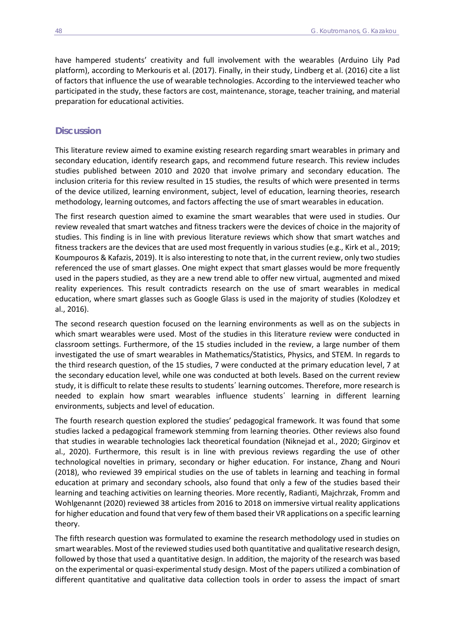have hampered students' creativity and full involvement with the wearables (Arduino Lily Pad platform), according to Merkouris et al. (2017). Finally, in their study, Lindberg et al. (2016) cite a list of factors that influence the use of wearable technologies. According to the interviewed teacher who participated in the study, these factors are cost, maintenance, storage, teacher training, and material preparation for educational activities.

# **Discussion**

This literature review aimed to examine existing research regarding smart wearables in primary and secondary education, identify research gaps, and recommend future research. This review includes studies published between 2010 and 2020 that involve primary and secondary education. The inclusion criteria for this review resulted in 15 studies, the results of which were presented in terms of the device utilized, learning environment, subject, level of education, learning theories, research methodology, learning outcomes, and factors affecting the use of smart wearables in education.

The first research question aimed to examine the smart wearables that were used in studies. Our review revealed that smart watches and fitness trackers were the devices of choice in the majority of studies. This finding is in line with previous literature reviews which show that smart watches and fitness trackers are the devices that are used most frequently in various studies (e.g., Kirk et al., 2019; Koumpouros & Kafazis, 2019). It is also interesting to note that, in the current review, only two studies referenced the use of smart glasses. One might expect that smart glasses would be more frequently used in the papers studied, as they are a new trend able to offer new virtual, augmented and mixed reality experiences. This result contradicts research on the use of smart wearables in medical education, where smart glasses such as Google Glass is used in the majority of studies (Kolodzey et al., 2016).

The second research question focused on the learning environments as well as on the subjects in which smart wearables were used. Most of the studies in this literature review were conducted in classroom settings. Furthermore, of the 15 studies included in the review, a large number of them investigated the use of smart wearables in Mathematics/Statistics, Physics, and STEM. In regards to the third research question, of the 15 studies, 7 were conducted at the primary education level, 7 at the secondary education level, while one was conducted at both levels. Based on the current review study, it is difficult to relate these results to students΄ learning outcomes. Therefore, more research is needed to explain how smart wearables influence students΄ learning in different learning environments, subjects and level of education.

The fourth research question explored the studies' pedagogical framework. It was found that some studies lacked a pedagogical framework stemming from learning theories. Other reviews also found that studies in wearable technologies lack theoretical foundation (Niknejad et al., 2020; Girginov et al., 2020). Furthermore, this result is in line with previous reviews regarding the use of other technological novelties in primary, secondary or higher education. For instance, Zhang and Nouri (2018), who reviewed 39 empirical studies on the use of tablets in learning and teaching in formal education at primary and secondary schools, also found that only a few of the studies based their learning and teaching activities on learning theories. More recently, Radianti, Majchrzak, Fromm and Wohlgenannt (2020) reviewed 38 articles from 2016 to 2018 on immersive virtual reality applications for higher education and found that very few of them based their VR applications on a specific learning theory.

The fifth research question was formulated to examine the research methodology used in studies on smart wearables. Most of the reviewed studies used both quantitative and qualitative research design, followed by those that used a quantitative design. In addition, the majority of the research was based on the experimental or quasi-experimental study design. Most of the papers utilized a combination of different quantitative and qualitative data collection tools in order to assess the impact of smart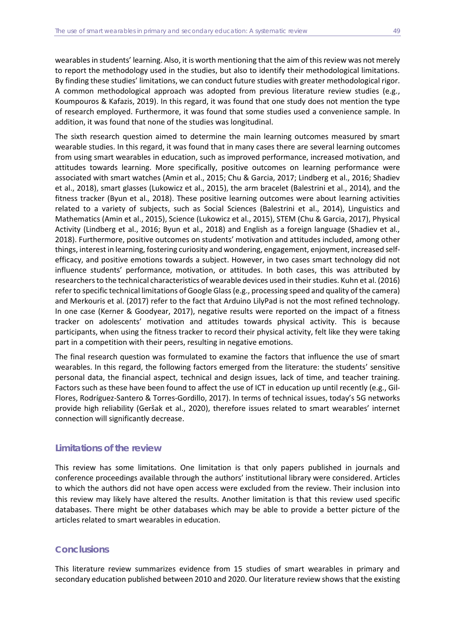wearables in students' learning. Also, it is worth mentioning that the aim of this review was not merely to report the methodology used in the studies, but also to identify their methodological limitations. By finding these studies' limitations, we can conduct future studies with greater methodological rigor. A common methodological approach was adopted from previous literature review studies (e.g., Koumpouros & Kafazis, 2019). In this regard, it was found that one study does not mention the type of research employed. Furthermore, it was found that some studies used a convenience sample. In addition, it was found that none of the studies was longitudinal.

The sixth research question aimed to determine the main learning outcomes measured by smart wearable studies. In this regard, it was found that in many cases there are several learning outcomes from using smart wearables in education, such as improved performance, increased motivation, and attitudes towards learning. More specifically, positive outcomes on learning performance were associated with smart watches (Amin et al., 2015; Chu & Garcia, 2017; Lindberg et al., 2016; Shadiev et al., 2018), smart glasses (Lukowicz et al., 2015), the arm bracelet (Balestrini et al., 2014), and the fitness tracker (Byun et al., 2018). These positive learning outcomes were about learning activities related to a variety of subjects, such as Social Sciences (Balestrini et al., 2014), Linguistics and Mathematics (Amin et al., 2015), Science (Lukowicz et al., 2015), STEM (Chu & Garcia, 2017), Physical Activity (Lindberg et al., 2016; Byun et al., 2018) and English as a foreign language (Shadiev et al., 2018). Furthermore, positive outcomes on students' motivation and attitudes included, among other things, interest in learning, fostering curiosity and wondering, engagement, enjoyment, increased selfefficacy, and positive emotions towards a subject. However, in two cases smart technology did not influence students' performance, motivation, or attitudes. In both cases, this was attributed by researchers to the technical characteristics of wearable devices used in their studies. Kuhn et al. (2016) refer to specific technical limitations of Google Glass (e.g., processing speed and quality of the camera) and Merkouris et al. (2017) refer to the fact that Arduino LilyPad is not the most refined technology. In one case (Kerner & Goodyear, 2017), negative results were reported on the impact of a fitness tracker on adolescents' motivation and attitudes towards physical activity. This is because participants, when using the fitness tracker to record their physical activity, felt like they were taking part in a competition with their peers, resulting in negative emotions.

The final research question was formulated to examine the factors that influence the use of smart wearables. In this regard, the following factors emerged from the literature: the students' sensitive personal data, the financial aspect, technical and design issues, lack of time, and teacher training. Factors such as these have been found to affect the use of ICT in education up until recently (e.g., Gil-Flores, Rodríguez-Santero & Torres-Gordillo, 2017). In terms of technical issues, today's 5G networks provide high reliability (Geršak et al., 2020), therefore issues related to smart wearables' internet connection will significantly decrease.

# **Limitations of the review**

This review has some limitations. One limitation is that only papers published in journals and conference proceedings available through the authors' institutional library were considered. Articles to which the authors did not have open access were excluded from the review. Their inclusion into this review may likely have altered the results. Another limitation is that this review used specific databases. There might be other databases which may be able to provide a better picture of the articles related to smart wearables in education.

# **Conclusions**

This literature review summarizes evidence from 15 studies of smart wearables in primary and secondary education published between 2010 and 2020. Our literature review shows that the existing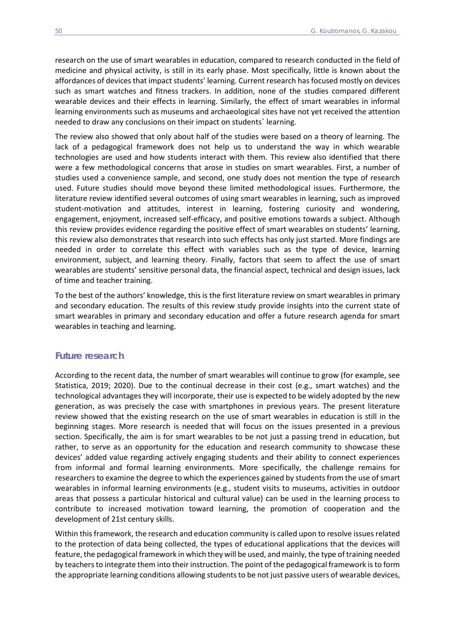research on the use of smart wearables in education, compared to research conducted in the field of medicine and physical activity, is still in its early phase. Most specifically, little is known about the affordances of devices that impact students' learning. Current research has focused mostly on devices such as smart watches and fitness trackers. In addition, none of the studies compared different wearable devices and their effects in learning. Similarly, the effect of smart wearables in informal learning environments such as museums and archaeological sites have not yet received the attention needed to draw any conclusions on their impact on students΄ learning.

The review also showed that only about half of the studies were based on a theory of learning. The lack of a pedagogical framework does not help us to understand the way in which wearable technologies are used and how students interact with them. This review also identified that there were a few methodological concerns that arose in studies on smart wearables. First, a number of studies used a convenience sample, and second, one study does not mention the type of research used. Future studies should move beyond these limited methodological issues. Furthermore, the literature review identified several outcomes of using smart wearables in learning, such as improved student-motivation and attitudes, interest in learning, fostering curiosity and wondering, engagement, enjoyment, increased self-efficacy, and positive emotions towards a subject. Although this review provides evidence regarding the positive effect of smart wearables on students' learning, this review also demonstrates that research into such effects has only just started. More findings are needed in order to correlate this effect with variables such as the type of device, learning environment, subject, and learning theory. Finally, factors that seem to affect the use of smart wearables are students' sensitive personal data, the financial aspect, technical and design issues, lack of time and teacher training.

To the best of the authors' knowledge, this is the first literature review on smart wearables in primary and secondary education. The results of this review study provide insights into the current state of smart wearables in primary and secondary education and offer a future research agenda for smart wearables in teaching and learning.

#### **Future research**

According to the recent data, the number of smart wearables will continue to grow (for example, see Statistica, 2019; 2020). Due to the continual decrease in their cost (e.g., smart watches) and the technological advantages they will incorporate, their use is expected to be widely adopted by the new generation, as was precisely the case with smartphones in previous years. The present literature review showed that the existing research on the use of smart wearables in education is still in the beginning stages. More research is needed that will focus on the issues presented in a previous section. Specifically, the aim is for smart wearables to be not just a passing trend in education, but rather, to serve as an opportunity for the education and research community to showcase these devices' added value regarding actively engaging students and their ability to connect experiences from informal and formal learning environments. More specifically, the challenge remains for researchers to examine the degree to which the experiences gained by students from the use of smart wearables in informal learning environments (e.g., student visits to museums, activities in outdoor areas that possess a particular historical and cultural value) can be used in the learning process to contribute to increased motivation toward learning, the promotion of cooperation and the development of 21st century skills.

Within this framework, the research and education community is called upon to resolve issues related to the protection of data being collected, the types of educational applications that the devices will feature, the pedagogical framework in which they will be used, and mainly, the type of training needed by teachers to integrate them into their instruction. The point of the pedagogical framework is to form the appropriate learning conditions allowing students to be not just passive users of wearable devices,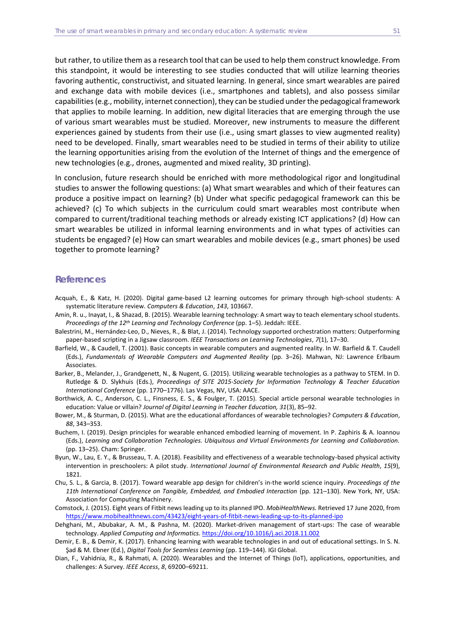but rather, to utilize them as a research tool that can be used to help them construct knowledge. From this standpoint, it would be interesting to see studies conducted that will utilize learning theories favoring authentic, constructivist, and situated learning. In general, since smart wearables are paired and exchange data with mobile devices (i.e., smartphones and tablets), and also possess similar capabilities (e.g., mobility, internet connection), they can be studied under the pedagogical framework that applies to mobile learning. In addition, new digital literacies that are emerging through the use of various smart wearables must be studied. Moreover, new instruments to measure the different experiences gained by students from their use (i.e., using smart glasses to view augmented reality) need to be developed. Finally, smart wearables need to be studied in terms of their ability to utilize the learning opportunities arising from the evolution of the Internet of things and the emergence of new technologies (e.g., drones, augmented and mixed reality, 3D printing).

In conclusion, future research should be enriched with more methodological rigor and longitudinal studies to answer the following questions: (a) What smart wearables and which of their features can produce a positive impact on learning? (b) Under what specific pedagogical framework can this be achieved? (c) To which subjects in the curriculum could smart wearables most contribute when compared to current/traditional teaching methods or already existing ICT applications? (d) How can smart wearables be utilized in informal learning environments and in what types of activities can students be engaged? (e) How can smart wearables and mobile devices (e.g., smart phones) be used together to promote learning?

#### **References**

- Acquah, E., & Katz, H. (2020). Digital game-based L2 learning outcomes for primary through high-school students: A systematic literature review. *Computers & Education*, *143*, 103667.
- Amin, R. u., Inayat, I., & Shazad, B. (2015). Wearable learning technology: A smart way to teach elementary school students. *Proceedings of the 12th Learning and Technology Conference* (pp. 1–5). Jeddah: IEEE.
- Balestrini, M., Hernández-Leo, D., Nieves, R., & Blat, J. (2014). Technology supported orchestration matters: Outperforming paper-based scripting in a Jigsaw classroom. *IEEE Transactions on Learning Technologies*, *7*(1), 17–30.
- Barfield, W., & Caudell, T. (2001). Basic concepts in wearable computers and augmented reality. In W. Barfield & T. Caudell (Eds.), *Fundamentals of Wearable Computers and Augmented Reality* (pp. 3–26). Mahwan, NJ: Lawrence Erlbaum Associates.
- Barker, B., Melander, J., Grandgenett, N., & Nugent, G. (2015). Utilizing wearable technologies as a pathway to STEM. In D. Rutledge & D. Slykhuis (Eds.), *Proceedings of SITE 2015-Society for Information Technology & Teacher Education International Conference* (pp. 1770–1776). Las Vegas, NV, USA: AACE.
- Borthwick, A. C., Anderson, C. L., Finsness, E. S., & Foulger, T. (2015). Special article personal wearable technologies in education: Value or villain? *Journal of Digital Learning in Teacher Education, 31*(3), 85–92.
- Bower, M., & Sturman, D. (2015). What are the educational affordances of wearable technologies? *Computers & Education*, *88*, 343–353.
- Buchem, I. (2019). Design principles for wearable enhanced embodied learning of movement. In P. Zaphiris & A. Ioannou (Eds.), *Learning and Collaboration Technologies. Ubiquitous and Virtual Environments for Learning and Collaboration.*  (pp. 13–25). Cham: Springer.
- Byun, W., Lau, E. Y., & Brusseau, T. A. (2018). Feasibility and effectiveness of a wearable technology-based physical activity intervention in preschoolers: A pilot study. *International Journal of Environmental Research and Public Health*, *15*(9), 1821.
- Chu, S. L., & Garcia, B. (2017). Toward wearable app design for children's in-the world science inquiry. *Proceedings of the 11th International Conference on Tangible, Embedded, and Embodied Interaction* (pp. 121–130). New York, NY, USA: Association for Computing Machinery.
- Comstock, J. (2015). Eight years of Fitbit news leading up to its planned IPO. *MobiHealthNews.* Retrieved 17 June 2020, from <https://www.mobihealthnews.com/43423/eight-years-of-fitbit-news-leading-up-to-its-planned-ipo>
- Dehghani, M., Abubakar, A. M., & Pashna, M. (2020). Market-driven management of start-ups: The case of wearable technology. *Applied Computing and Informatics.* <https://doi.org/10.1016/j.aci.2018.11.002>
- Demir, E. B., & Demir, K. (2017). Enhancing learning with wearable technologies in and out of educational settings. In S. N. Şad & M. Ebner (Ed.), *Digital Tools for Seamless Learning* (pp. 119–144). IGI Global.
- Dian, F., Vahidnia, R., & Rahmati, A. (2020). Wearables and the Internet of Things (IoT), applications, opportunities, and challenges: A Survey. *IEEE Access*, *8*, 69200–69211.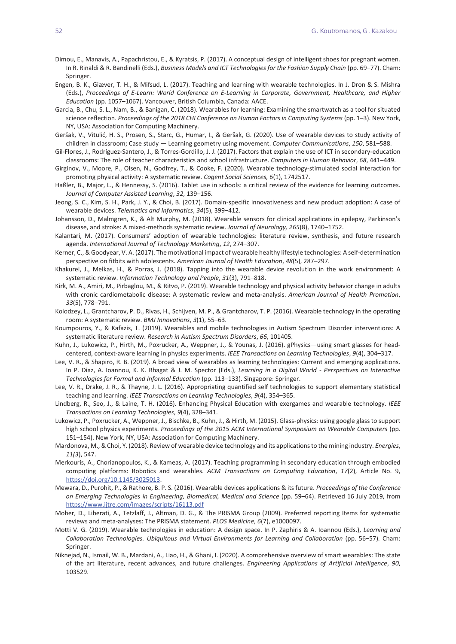- Dimou, E., Manavis, A., Papachristou, E., & Kyratsis, P. (2017). A conceptual design of intelligent shoes for pregnant women*.* In R. Rinaldi & R. Bandinelli (Eds.), *Business Models and ICT Technologies for the Fashion Supply Chain* (pp. 69–77). Cham: Springer.
- Engen, B. K., Giæver, T. H., & Mifsud, L. (2017). Teaching and learning with wearable technologies. In J. Dron & S. Mishra (Eds.), *Proceedings of E-Learn: World Conference on E-Learning in Corporate, Government, Healthcare, and Higher Education* (pp. 1057–1067). Vancouver, British Columbia, Canada: AACE.
- Garcia, B., Chu, S. L., Nam, B., & Banigan, C. (2018). Wearables for learning: Examining the smartwatch as a tool for situated science reflection. *Proceedings of the 2018 CHI Conference on Human Factors in Computing Systems* (pp. 1–3). New York, NY, USA: Association for Computing Machinery.
- Geršak, V., Vitulić, H. S., Prosen, S., Starc, G., Humar, I., & Geršak, G. (2020). Use of wearable devices to study activity of children in classroom; Case study — Learning geometry using movement. *Computer Communications*, *150*, 581–588.
- Gil-Flores, J., Rodríguez-Santero, J., & Torres-Gordillo, J. J. (2017). Factors that explain the use of ICT in secondary-education classrooms: The role of teacher characteristics and school infrastructure. *Computers in Human Behavior*, *68*, 441–449.
- Girginov, V., Moore, P., Olsen, N., Godfrey, T., & Cooke, F. (2020). Wearable technology-stimulated social interaction for promoting physical activity: A systematic review. *Cogent Social Sciences, 6*(1), 1742517.
- Haßler, B., Major, L., & Hennessy, S. (2016). Tablet use in schools: a critical review of the evidence for learning outcomes. *Journal of Computer Assisted Learning*, *32*, 139–156.
- Jeong, S. C., Kim, S. H., Park, J. Y., & Choi, B. (2017). Domain-specific innovativeness and new product adoption: A case of wearable devices. *Telematics and Informatics*, *34*(5), 399–412.
- Johansson, D., Malmgren, K., & Alt Murphy, M. (2018). Wearable sensors for clinical applications in epilepsy, Parkinson's disease, and stroke: A mixed-methods systematic review. *Journal of Neurology, 265*(8), 1740–1752.
- Kalantari, M. (2017). Consumers' adoption of wearable technologies: literature review, synthesis, and future research agenda. *International Journal of Technology Marketing*, *12*, 274–307.
- Kerner, C., & Goodyear, V. A. (2017). The motivational impact of wearable healthy lifestyle technologies: A self-determination perspective on fitbits with adolescents. *American Journal of Health Education*, *48*(5), 287–297.
- Khakurel, J., Melkas, H., & Porras, J. (2018). Tapping into the wearable device revolution in the work environment: A systematic review. *Information Technology and People*, *31*(3), 791–818.
- Kirk, M. A., Amiri, M., Pirbaglou, M., & Ritvo, P. (2019). Wearable technology and physical activity behavior change in adults with cronic cardiometabolic disease: A systematic review and meta-analysis. *American Journal of Health Promotion*, *33*(5), 778–791.
- Kolodzey, L., Grantcharov, P. D., Rivas, H., Schijven, M. P., & Grantcharov, T. P. (2016). Wearable technology in the operating room: A systematic review. *BMJ Innovations*, *3*(1), 55–63.
- Koumpouros, Y., & Kafazis, T. (2019). Wearables and mobile technologies in Autism Spectrum Disorder interventions: A systematic literature review. *Research in Autism Spectrum Disorders*, *66*, 101405.
- Kuhn, J., Lukowicz, P., Hirth, M., Poxrucker, A., Weppner, J., & Younas, J. (2016). gPhysics—using smart glasses for headcentered, context-aware learning in physics experiments. *IEEE Transactions on Learning Technologies*, *9*(4), 304–317.
- Lee, V. R., & Shapiro, R. B. (2019). A broad view of wearables as learning technologies: Current and emerging applications. In P. Diaz, A. Ioannou, K. K. Bhagat & J. M. Spector (Eds.), *Learning in a Digital World - Perspectives on Interactive Technologies for Formal and Informal Education* (pp. 113–133). Singapore: Springer.
- Lee, V. R., Drake, J. R., & Thayne, J. L. (2016). Appropriating quantified self technologies to support elementary statistical teaching and learning. *IEEE Transactions on Learning Technologies*, *9*(4), 354–365.
- Lindberg, R., Seo, J., & Laine, T. H. (2016). Enhancing Physical Education with exergames and wearable technology. *IEEE Transactions on Learning Technologies*, *9*(4), 328–341.
- Lukowicz, P., Poxrucker, A., Weppner, J., Bischke, B., Kuhn, J., & Hirth, M. (2015). Glass-physics: using google glass to support high school physics experiments. *Proceedings of the 2015 ACM International Symposium on Wearable Computers* (pp. 151–154). New York, NY, USA: Association for Computing Machinery.
- Mardonova, M., & Choi, Y. (2018). Review of wearable device technology and its applications to the mining industry. *Energies*, *11(3*), 547.
- Merkouris, A., Chorianopoulos, K., & Kameas, A. (2017). Teaching programming in secondary education through embodied computing platforms: Robotics and wearables. *ACM Transactions on Computing Education*, *17*(2), Article No. 9, https://doi.org/10.1145/3025013.
- Mewara, D., Purohit, P., & Rathore, B. P. S. (2016). Wearable devices applications & its future. *Proceedings of the Conference on Emerging Technologies in Engineering, Biomedical, Medical and Science* (pp. 59–64). Retrieved 16 July 2019, from https://www.ijtre.com/images/scripts/16113.pdf
- Moher, D., Liberati, A., Tetzlaff, J., Altman, D. G., & The PRISMA Group (2009). Preferred reporting Items for systematic reviews and meta-analyses: The PRISMA statement. *PLOS Medicine*, *6*(7), e1000097.
- Motti V. G. (2019). Wearable technologies in education: A design space. In P. Zaphiris & A. Ioannou (Eds.), *Learning and Collaboration Technologies. Ubiquitous and Virtual Environments for Learning and Collaboration* (pp. 56–57)*.* Cham: Springer.
- Niknejad, N., Ismail, W. B., Mardani, A., Liao, H., & Ghani, I. (2020). A comprehensive overview of smart wearables: The state of the art literature, recent advances, and future challenges. *Engineering Applications of Artificial Intelligence*, *90*, 103529.